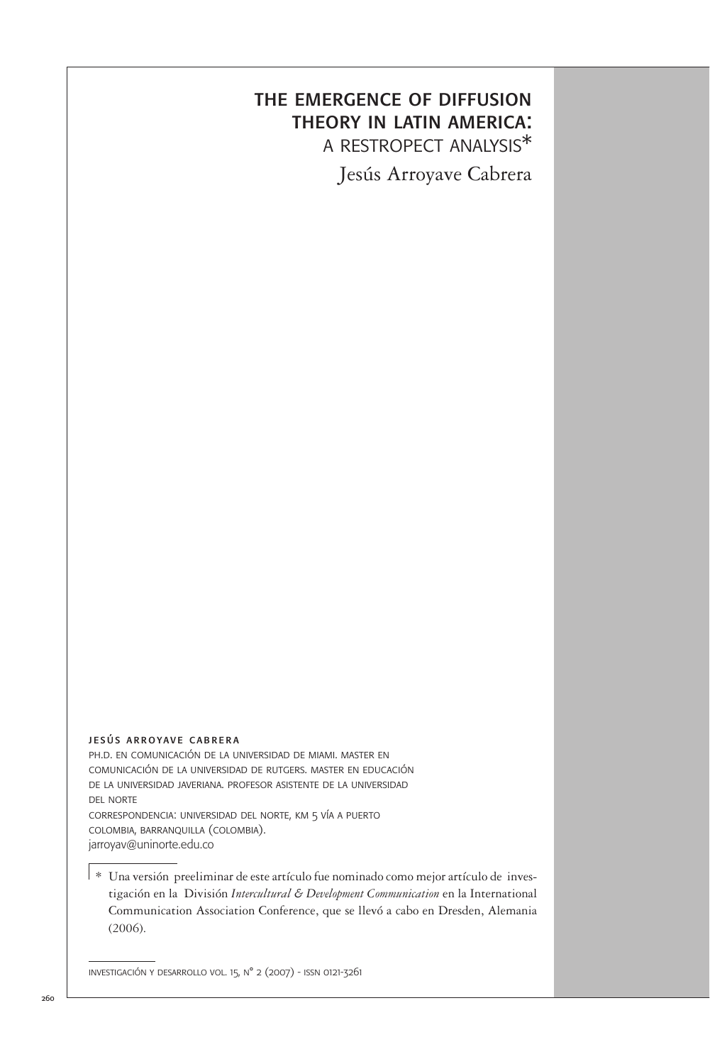# the emergence of diffusion theory in latin america: a restropect analysis\*

Jesús Arroyave Cabrera

#### jesús arroyave cabrera

ph.d. en comunicación de la universidad de miami. master en comunicación de la universidad de rutgers. master en educación de la universidad javeriana. profesor asistente de la universidad del norte correspondencia: universidad del norte, km 5 vía a puerto colombia, barranquilla (colombia).

jarroyav@uninorte.edu.co

\* Una versión preeliminar de este artículo fue nominado como mejor artículo de investigación en la División *Intercultural & Development Communication* en la International Communication Association Conference, que se llevó a cabo en Dresden, Alemania (2006).

investigación y desarrollo vol. 15, n° 2 (2007) - issn 0121-3261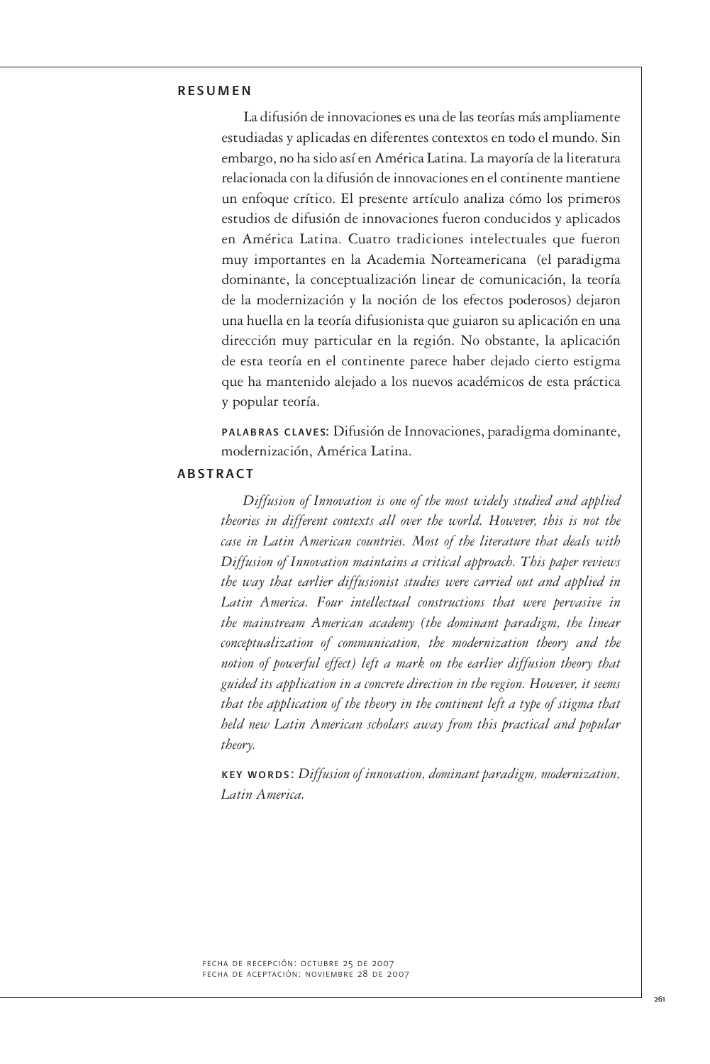# resumen

La difusión de innovaciones es una de las teorías más ampliamente estudiadas y aplicadas en diferentes contextos en todo el mundo. Sin embargo, no ha sido así en América Latina. La mayoría de la literatura relacionada con la difusión de innovaciones en el continente mantiene un enfoque crítico. El presente artículo analiza cómo los primeros estudios de difusión de innovaciones fueron conducidos y aplicados en América Latina. Cuatro tradiciones intelectuales que fueron muy importantes en la Academia Norteamericana (el paradigma dominante, la conceptualización linear de comunicación, la teoría de la modernización y la noción de los efectos poderosos) dejaron una huella en la teoría difusionista que guiaron su aplicación en una dirección muy particular en la región. No obstante, la aplicación de esta teoría en el continente parece haber dejado cierto estigma que ha mantenido alejado a los nuevos académicos de esta práctica y popular teoría.

palabras claves: Difusión de Innovaciones, paradigma dominante, modernización, América Latina.

#### **ABSTRACT**

*Diffusion of Innovation is one of the most widely studied and applied theories in different contexts all over the world. However, this is not the case in Latin American countries. Most of the literature that deals with Diffusion of Innovation maintains a critical approach. This paper reviews the way that earlier diffusionist studies were carried out and applied in Latin America. Four intellectual constructions that were pervasive in the mainstream American academy (the dominant paradigm, the linear conceptualization of communication, the modernization theory and the notion of powerful effect) left a mark on the earlier diffusion theory that guided its application in a concrete direction in the region. However, it seems that the application of the theory in the continent left a type of stigma that held new Latin American scholars away from this practical and popular theory.*

key words: *Diffusion of innovation, dominant paradigm, modernization, Latin America.*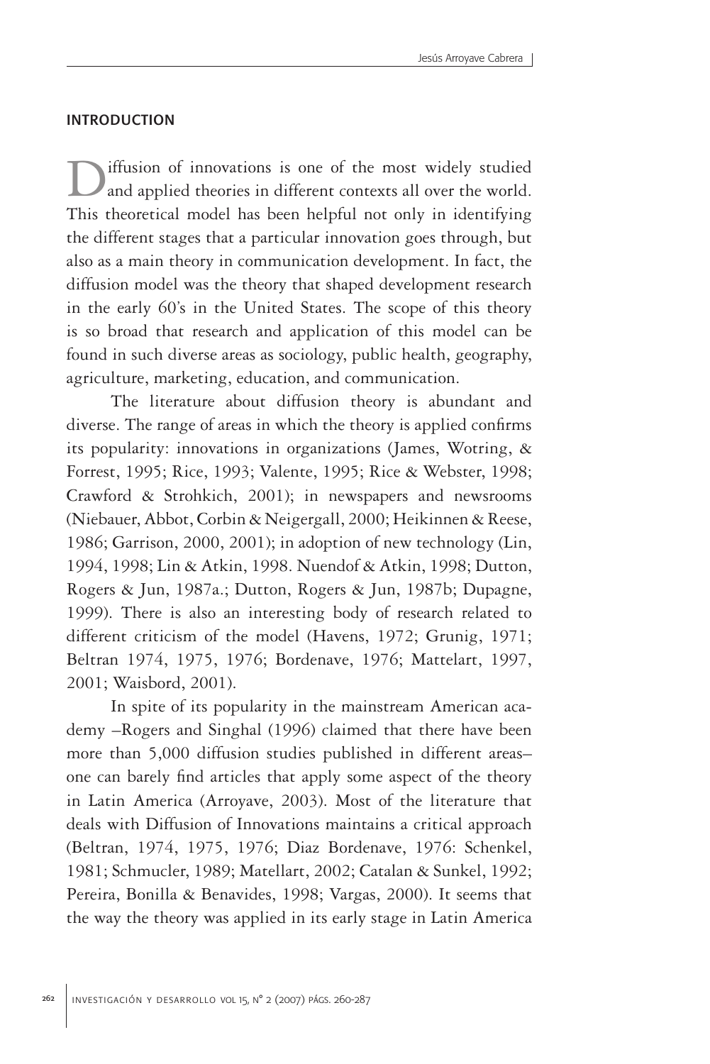#### **INTRODUCTION**

iffusion of innovations is one of the most widely studied and applied theories in different contexts all over the world. This theoretical model has been helpful not only in identifying the different stages that a particular innovation goes through, but also as a main theory in communication development. In fact, the diffusion model was the theory that shaped development research in the early 60's in the United States. The scope of this theory is so broad that research and application of this model can be found in such diverse areas as sociology, public health, geography, agriculture, marketing, education, and communication.

The literature about diffusion theory is abundant and diverse. The range of areas in which the theory is applied confirms its popularity: innovations in organizations (James, Wotring, & Forrest, 1995; Rice, 1993; Valente, 1995; Rice & Webster, 1998; Crawford & Strohkich, 2001); in newspapers and newsrooms (Niebauer, Abbot, Corbin & Neigergall, 2000; Heikinnen & Reese, 1986; Garrison, 2000, 2001); in adoption of new technology (Lin, 1994, 1998; Lin & Atkin, 1998. Nuendof & Atkin, 1998; Dutton, Rogers & Jun, 1987a.; Dutton, Rogers & Jun, 1987b; Dupagne, 1999). There is also an interesting body of research related to different criticism of the model (Havens, 1972; Grunig, 1971; Beltran 1974, 1975, 1976; Bordenave, 1976; Mattelart, 1997, 2001; Waisbord, 2001).

In spite of its popularity in the mainstream American academy –Rogers and Singhal (1996) claimed that there have been more than 5,000 diffusion studies published in different areas– one can barely find articles that apply some aspect of the theory in Latin America (Arroyave, 2003). Most of the literature that deals with Diffusion of Innovations maintains a critical approach (Beltran, 1974, 1975, 1976; Diaz Bordenave, 1976: Schenkel, 1981; Schmucler, 1989; Matellart, 2002; Catalan & Sunkel, 1992; Pereira, Bonilla & Benavides, 1998; Vargas, 2000). It seems that the way the theory was applied in its early stage in Latin America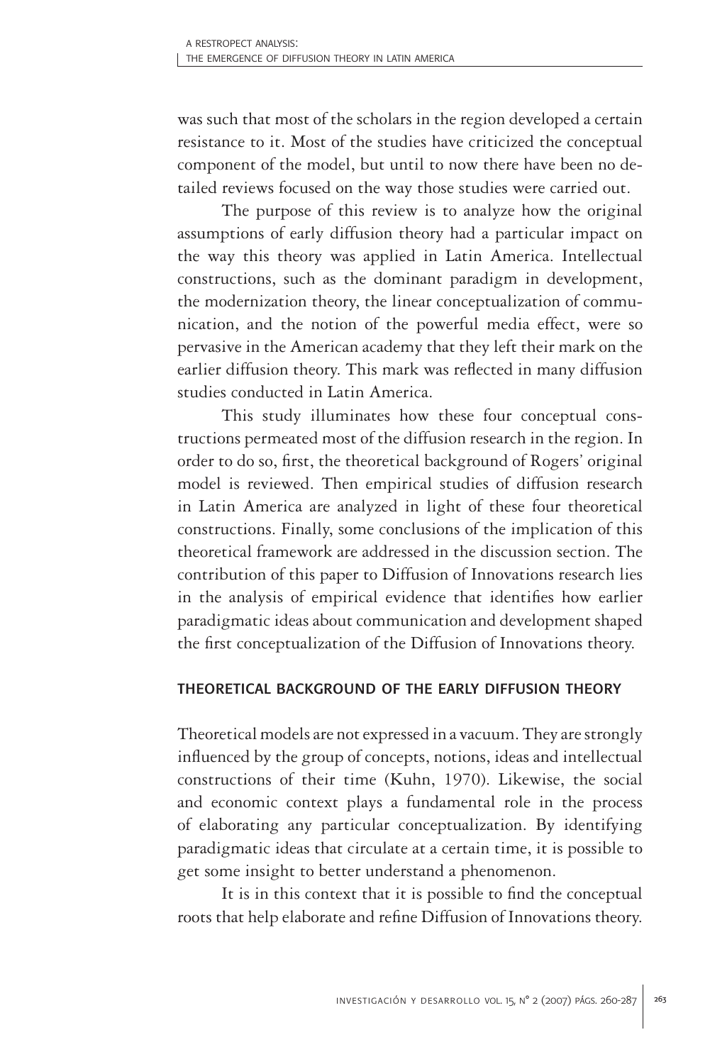was such that most of the scholars in the region developed a certain resistance to it. Most of the studies have criticized the conceptual component of the model, but until to now there have been no detailed reviews focused on the way those studies were carried out.

The purpose of this review is to analyze how the original assumptions of early diffusion theory had a particular impact on the way this theory was applied in Latin America. Intellectual constructions, such as the dominant paradigm in development, the modernization theory, the linear conceptualization of communication, and the notion of the powerful media effect, were so pervasive in the American academy that they left their mark on the earlier diffusion theory. This mark was reflected in many diffusion studies conducted in Latin America.

This study illuminates how these four conceptual constructions permeated most of the diffusion research in the region. In order to do so, first, the theoretical background of Rogers' original model is reviewed. Then empirical studies of diffusion research in Latin America are analyzed in light of these four theoretical constructions. Finally, some conclusions of the implication of this theoretical framework are addressed in the discussion section. The contribution of this paper to Diffusion of Innovations research lies in the analysis of empirical evidence that identifies how earlier paradigmatic ideas about communication and development shaped the first conceptualization of the Diffusion of Innovations theory.

# theoretical background of the early diffusion theory

Theoretical models are not expressed in a vacuum. They are strongly influenced by the group of concepts, notions, ideas and intellectual constructions of their time (Kuhn, 1970). Likewise, the social and economic context plays a fundamental role in the process of elaborating any particular conceptualization. By identifying paradigmatic ideas that circulate at a certain time, it is possible to get some insight to better understand a phenomenon.

It is in this context that it is possible to find the conceptual roots that help elaborate and refine Diffusion of Innovations theory.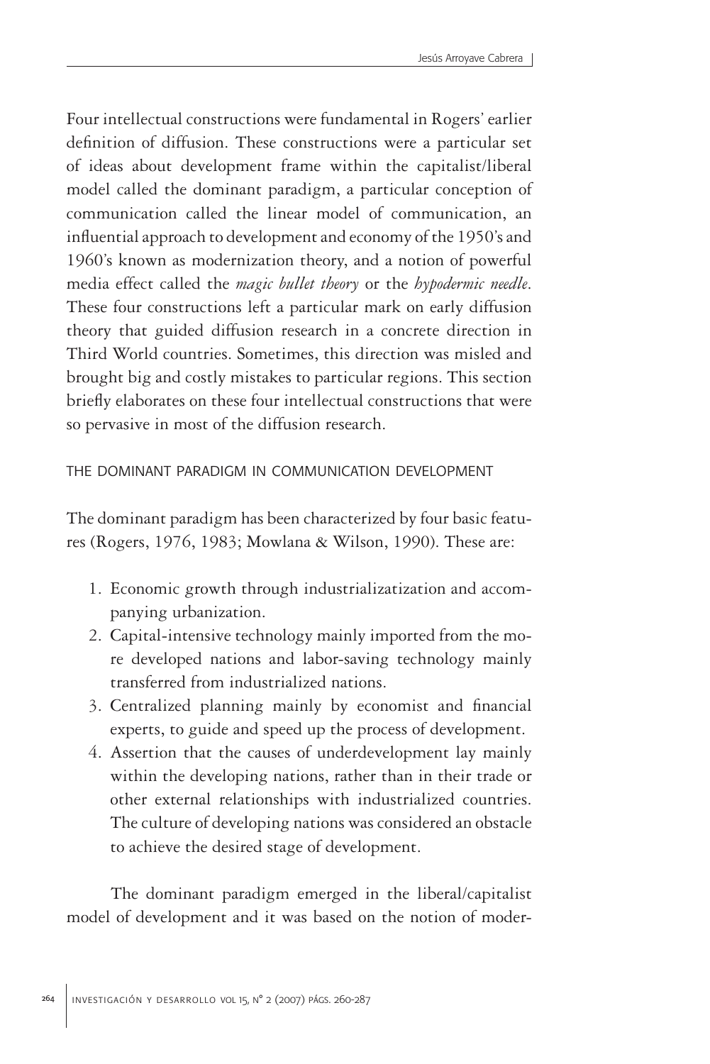Four intellectual constructions were fundamental in Rogers' earlier definition of diffusion. These constructions were a particular set of ideas about development frame within the capitalist/liberal model called the dominant paradigm, a particular conception of communication called the linear model of communication, an influential approach to development and economy of the 1950's and 1960's known as modernization theory, and a notion of powerful media effect called the *magic bullet theory* or the *hypodermic needle*. These four constructions left a particular mark on early diffusion theory that guided diffusion research in a concrete direction in Third World countries. Sometimes, this direction was misled and brought big and costly mistakes to particular regions. This section briefly elaborates on these four intellectual constructions that were so pervasive in most of the diffusion research.

# the dominant paradigm in communication development

The dominant paradigm has been characterized by four basic features (Rogers, 1976, 1983; Mowlana & Wilson, 1990). These are:

- 1. Economic growth through industrializatization and accompanying urbanization.
- 2. Capital-intensive technology mainly imported from the more developed nations and labor-saving technology mainly transferred from industrialized nations.
- 3. Centralized planning mainly by economist and financial experts, to guide and speed up the process of development.
- 4. Assertion that the causes of underdevelopment lay mainly within the developing nations, rather than in their trade or other external relationships with industrialized countries. The culture of developing nations was considered an obstacle to achieve the desired stage of development.

The dominant paradigm emerged in the liberal/capitalist model of development and it was based on the notion of moder-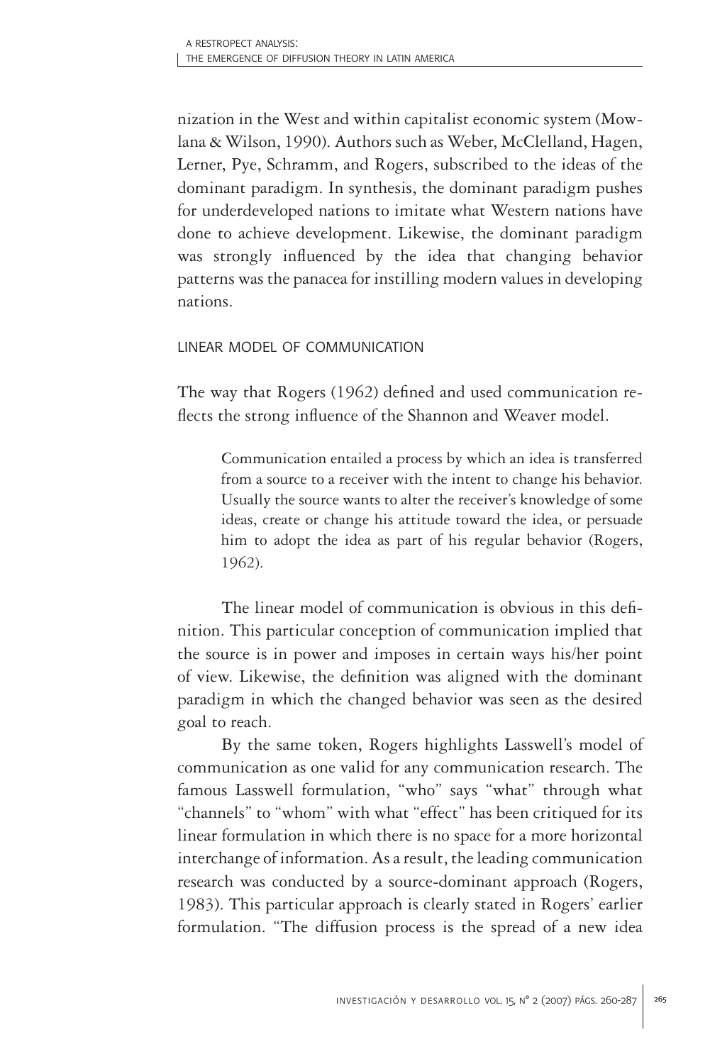nization in the West and within capitalist economic system (Mowlana & Wilson, 1990). Authors such as Weber, McClelland, Hagen, Lerner, Pye, Schramm, and Rogers, subscribed to the ideas of the dominant paradigm. In synthesis, the dominant paradigm pushes for underdeveloped nations to imitate what Western nations have done to achieve development. Likewise, the dominant paradigm was strongly influenced by the idea that changing behavior patterns was the panacea for instilling modern values in developing nations.

# linear model of communication

The way that Rogers (1962) defined and used communication reflects the strong influence of the Shannon and Weaver model.

Communication entailed a process by which an idea is transferred from a source to a receiver with the intent to change his behavior. Usually the source wants to alter the receiver's knowledge of some ideas, create or change his attitude toward the idea, or persuade him to adopt the idea as part of his regular behavior (Rogers, 1962).

The linear model of communication is obvious in this definition. This particular conception of communication implied that the source is in power and imposes in certain ways his/her point of view. Likewise, the definition was aligned with the dominant paradigm in which the changed behavior was seen as the desired goal to reach.

By the same token, Rogers highlights Lasswell's model of communication as one valid for any communication research. The famous Lasswell formulation, "who" says "what" through what "channels" to "whom" with what "effect" has been critiqued for its linear formulation in which there is no space for a more horizontal interchange of information. As a result, the leading communication research was conducted by a source-dominant approach (Rogers, 1983). This particular approach is clearly stated in Rogers' earlier formulation. "The diffusion process is the spread of a new idea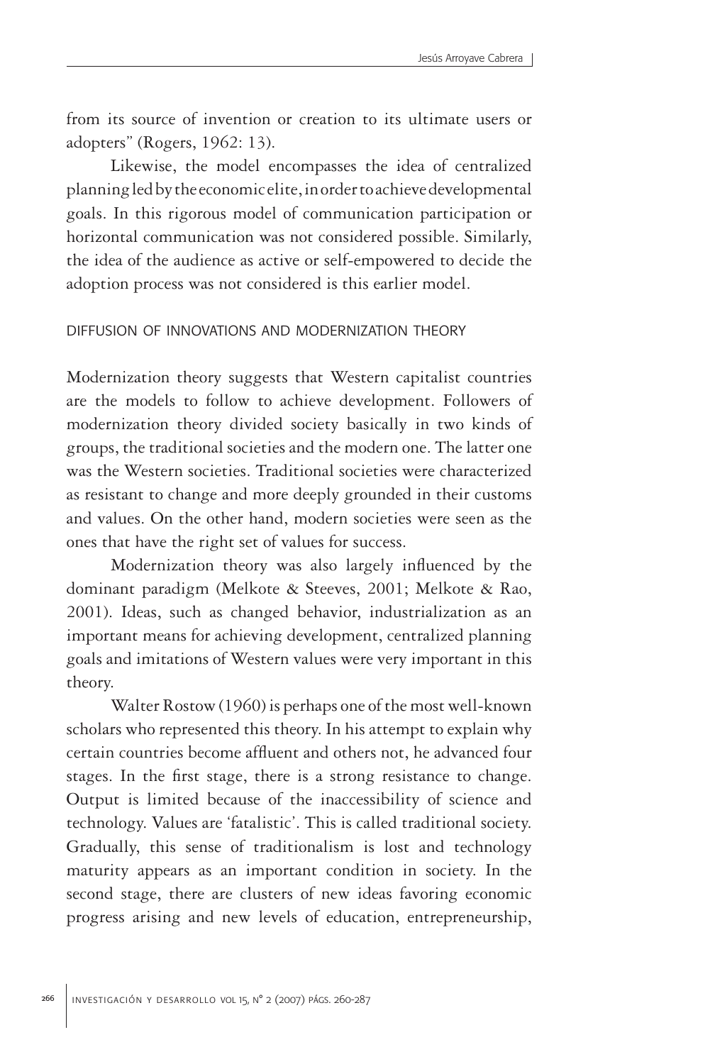from its source of invention or creation to its ultimate users or adopters" (Rogers, 1962: 13).

Likewise, the model encompasses the idea of centralized planning led by the economic elite, in order to achieve developmental goals. In this rigorous model of communication participation or horizontal communication was not considered possible. Similarly, the idea of the audience as active or self-empowered to decide the adoption process was not considered is this earlier model.

# diffusion of innovations and modernization theory

Modernization theory suggests that Western capitalist countries are the models to follow to achieve development. Followers of modernization theory divided society basically in two kinds of groups, the traditional societies and the modern one. The latter one was the Western societies. Traditional societies were characterized as resistant to change and more deeply grounded in their customs and values. On the other hand, modern societies were seen as the ones that have the right set of values for success.

Modernization theory was also largely influenced by the dominant paradigm (Melkote & Steeves, 2001; Melkote & Rao, 2001). Ideas, such as changed behavior, industrialization as an important means for achieving development, centralized planning goals and imitations of Western values were very important in this theory.

Walter Rostow (1960) is perhaps one of the most well-known scholars who represented this theory. In his attempt to explain why certain countries become affluent and others not, he advanced four stages. In the first stage, there is a strong resistance to change. Output is limited because of the inaccessibility of science and technology. Values are 'fatalistic'. This is called traditional society. Gradually, this sense of traditionalism is lost and technology maturity appears as an important condition in society. In the second stage, there are clusters of new ideas favoring economic progress arising and new levels of education, entrepreneurship,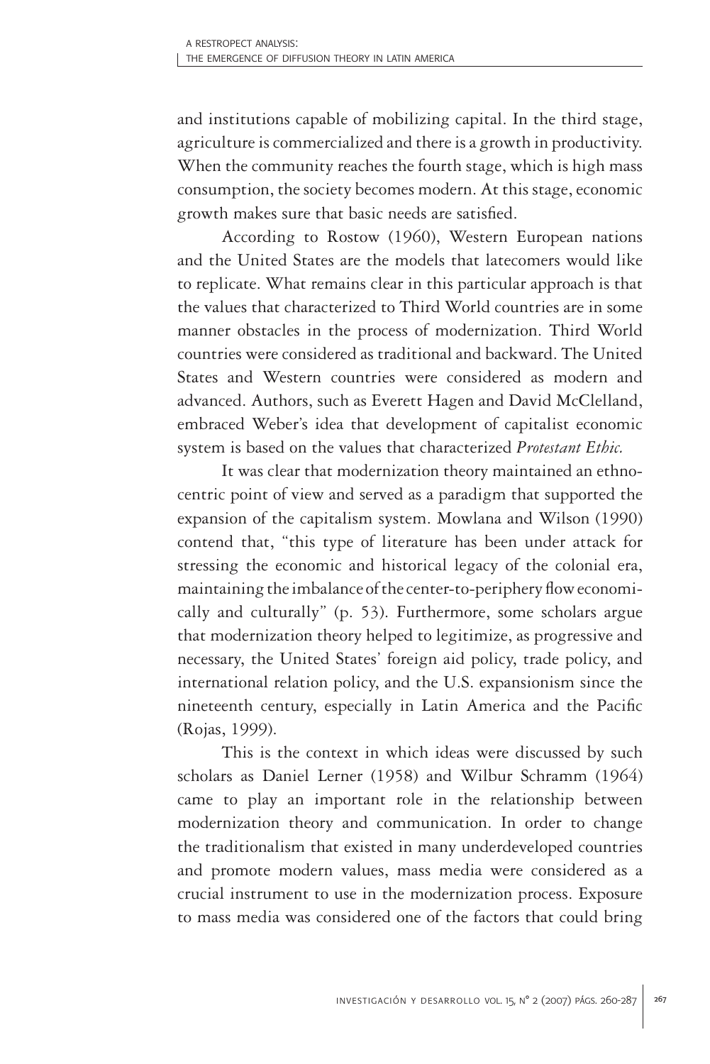and institutions capable of mobilizing capital. In the third stage, agriculture is commercialized and there is a growth in productivity. When the community reaches the fourth stage, which is high mass consumption, the society becomes modern. At this stage, economic growth makes sure that basic needs are satisfied.

According to Rostow (1960), Western European nations and the United States are the models that latecomers would like to replicate. What remains clear in this particular approach is that the values that characterized to Third World countries are in some manner obstacles in the process of modernization. Third World countries were considered as traditional and backward. The United States and Western countries were considered as modern and advanced. Authors, such as Everett Hagen and David McClelland, embraced Weber's idea that development of capitalist economic system is based on the values that characterized *Protestant Ethic.*

It was clear that modernization theory maintained an ethnocentric point of view and served as a paradigm that supported the expansion of the capitalism system. Mowlana and Wilson (1990) contend that, "this type of literature has been under attack for stressing the economic and historical legacy of the colonial era, maintaining the imbalance of the center-to-periphery flow economically and culturally" (p. 53). Furthermore, some scholars argue that modernization theory helped to legitimize, as progressive and necessary, the United States' foreign aid policy, trade policy, and international relation policy, and the U.S. expansionism since the nineteenth century, especially in Latin America and the Pacific (Rojas, 1999).

This is the context in which ideas were discussed by such scholars as Daniel Lerner (1958) and Wilbur Schramm (1964) came to play an important role in the relationship between modernization theory and communication. In order to change the traditionalism that existed in many underdeveloped countries and promote modern values, mass media were considered as a crucial instrument to use in the modernization process. Exposure to mass media was considered one of the factors that could bring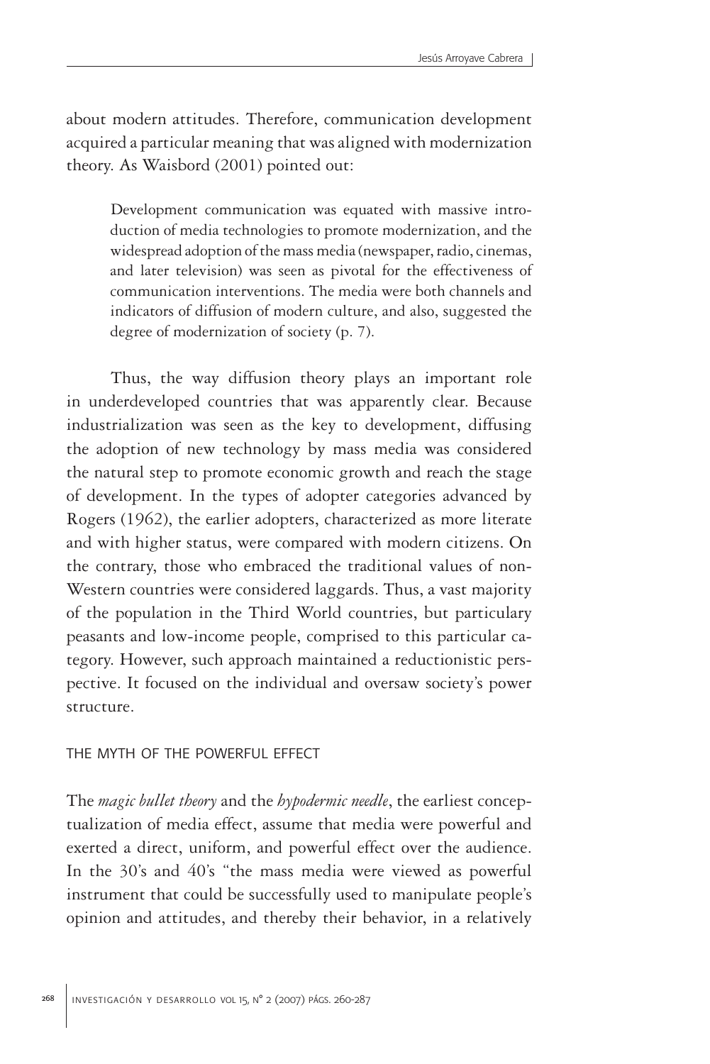about modern attitudes. Therefore, communication development acquired a particular meaning that was aligned with modernization theory. As Waisbord (2001) pointed out:

Development communication was equated with massive introduction of media technologies to promote modernization, and the widespread adoption of the mass media (newspaper, radio, cinemas, and later television) was seen as pivotal for the effectiveness of communication interventions. The media were both channels and indicators of diffusion of modern culture, and also, suggested the degree of modernization of society (p. 7).

Thus, the way diffusion theory plays an important role in underdeveloped countries that was apparently clear. Because industrialization was seen as the key to development, diffusing the adoption of new technology by mass media was considered the natural step to promote economic growth and reach the stage of development. In the types of adopter categories advanced by Rogers (1962), the earlier adopters, characterized as more literate and with higher status, were compared with modern citizens. On the contrary, those who embraced the traditional values of non-Western countries were considered laggards. Thus, a vast majority of the population in the Third World countries, but particulary peasants and low-income people, comprised to this particular category. However, such approach maintained a reductionistic perspective. It focused on the individual and oversaw society's power structure.

### the myth of the powerful effect

The *magic bullet theory* and the *hypodermic needle*, the earliest conceptualization of media effect, assume that media were powerful and exerted a direct, uniform, and powerful effect over the audience. In the 30's and 40's "the mass media were viewed as powerful instrument that could be successfully used to manipulate people's opinion and attitudes, and thereby their behavior, in a relatively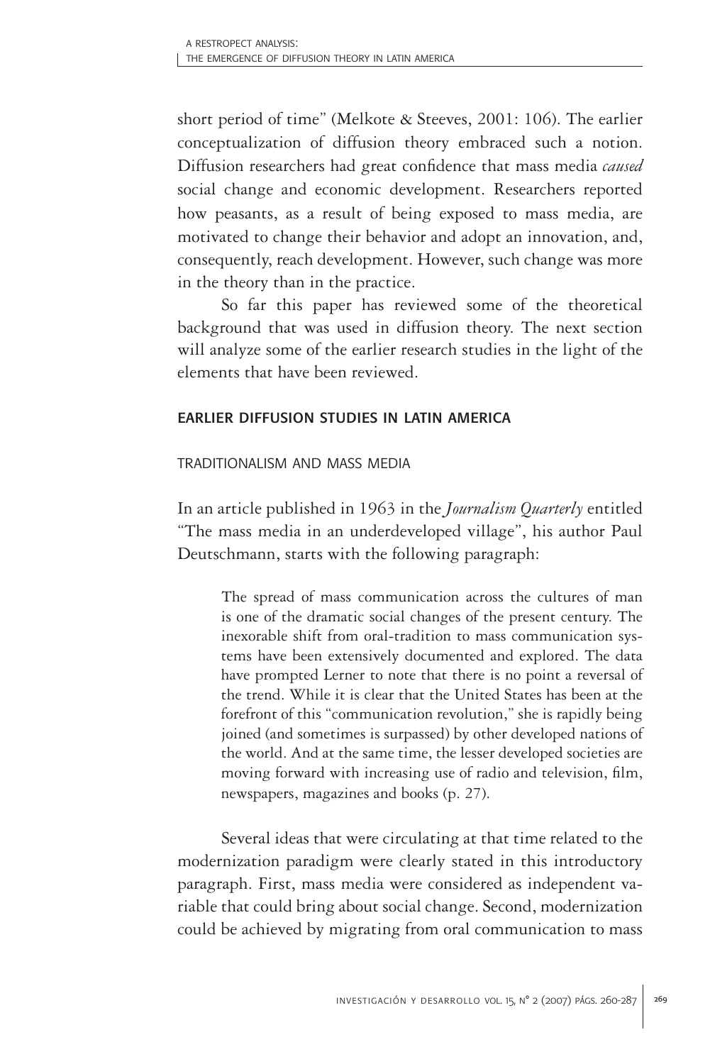short period of time" (Melkote & Steeves, 2001: 106). The earlier conceptualization of diffusion theory embraced such a notion. Diffusion researchers had great confidence that mass media *caused*  social change and economic development. Researchers reported how peasants, as a result of being exposed to mass media, are motivated to change their behavior and adopt an innovation, and, consequently, reach development. However, such change was more in the theory than in the practice.

So far this paper has reviewed some of the theoretical background that was used in diffusion theory. The next section will analyze some of the earlier research studies in the light of the elements that have been reviewed.

# earlier diffusion studies in latin america

# traditionalism and mass media

In an article published in 1963 in the *Journalism Quarterly* entitled "The mass media in an underdeveloped village", his author Paul Deutschmann, starts with the following paragraph:

The spread of mass communication across the cultures of man is one of the dramatic social changes of the present century. The inexorable shift from oral-tradition to mass communication systems have been extensively documented and explored. The data have prompted Lerner to note that there is no point a reversal of the trend. While it is clear that the United States has been at the forefront of this "communication revolution," she is rapidly being joined (and sometimes is surpassed) by other developed nations of the world. And at the same time, the lesser developed societies are moving forward with increasing use of radio and television, film, newspapers, magazines and books (p. 27).

Several ideas that were circulating at that time related to the modernization paradigm were clearly stated in this introductory paragraph. First, mass media were considered as independent variable that could bring about social change. Second, modernization could be achieved by migrating from oral communication to mass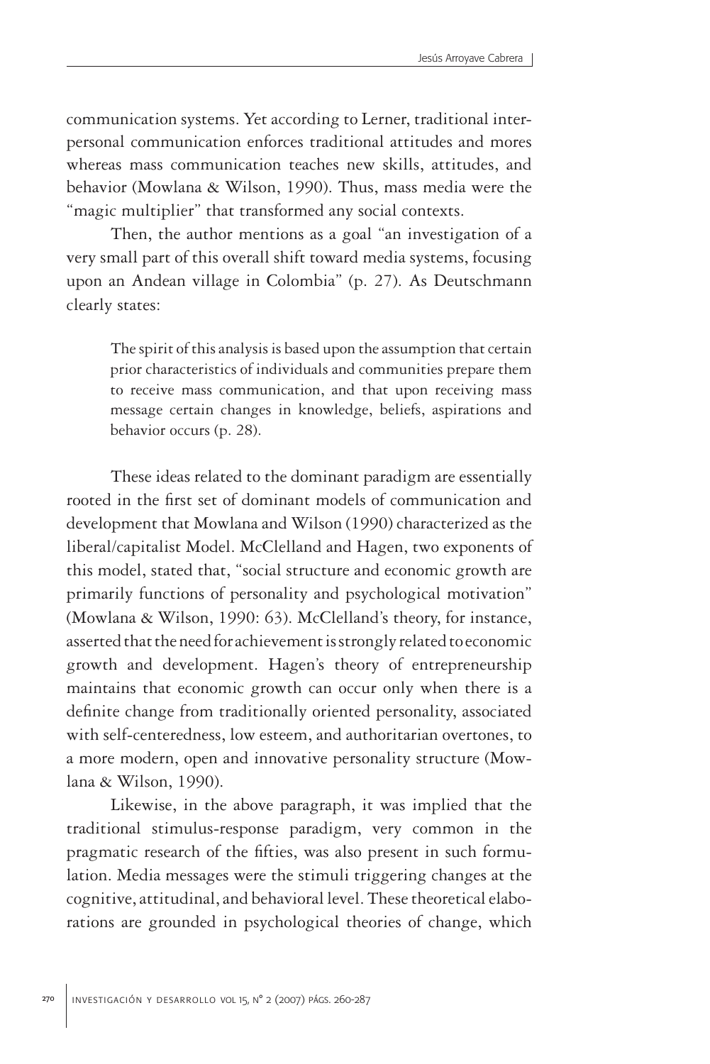communication systems. Yet according to Lerner, traditional interpersonal communication enforces traditional attitudes and mores whereas mass communication teaches new skills, attitudes, and behavior (Mowlana & Wilson, 1990). Thus, mass media were the "magic multiplier" that transformed any social contexts.

Then, the author mentions as a goal "an investigation of a very small part of this overall shift toward media systems, focusing upon an Andean village in Colombia" (p. 27). As Deutschmann clearly states:

The spirit of this analysis is based upon the assumption that certain prior characteristics of individuals and communities prepare them to receive mass communication, and that upon receiving mass message certain changes in knowledge, beliefs, aspirations and behavior occurs (p. 28).

These ideas related to the dominant paradigm are essentially rooted in the first set of dominant models of communication and development that Mowlana and Wilson (1990) characterized as the liberal/capitalist Model. McClelland and Hagen, two exponents of this model, stated that, "social structure and economic growth are primarily functions of personality and psychological motivation" (Mowlana & Wilson, 1990: 63). McClelland's theory, for instance, asserted that the need for achievement is strongly related to economic growth and development. Hagen's theory of entrepreneurship maintains that economic growth can occur only when there is a definite change from traditionally oriented personality, associated with self-centeredness, low esteem, and authoritarian overtones, to a more modern, open and innovative personality structure (Mowlana & Wilson, 1990).

Likewise, in the above paragraph, it was implied that the traditional stimulus-response paradigm, very common in the pragmatic research of the fifties, was also present in such formulation. Media messages were the stimuli triggering changes at the cognitive, attitudinal, and behavioral level. These theoretical elaborations are grounded in psychological theories of change, which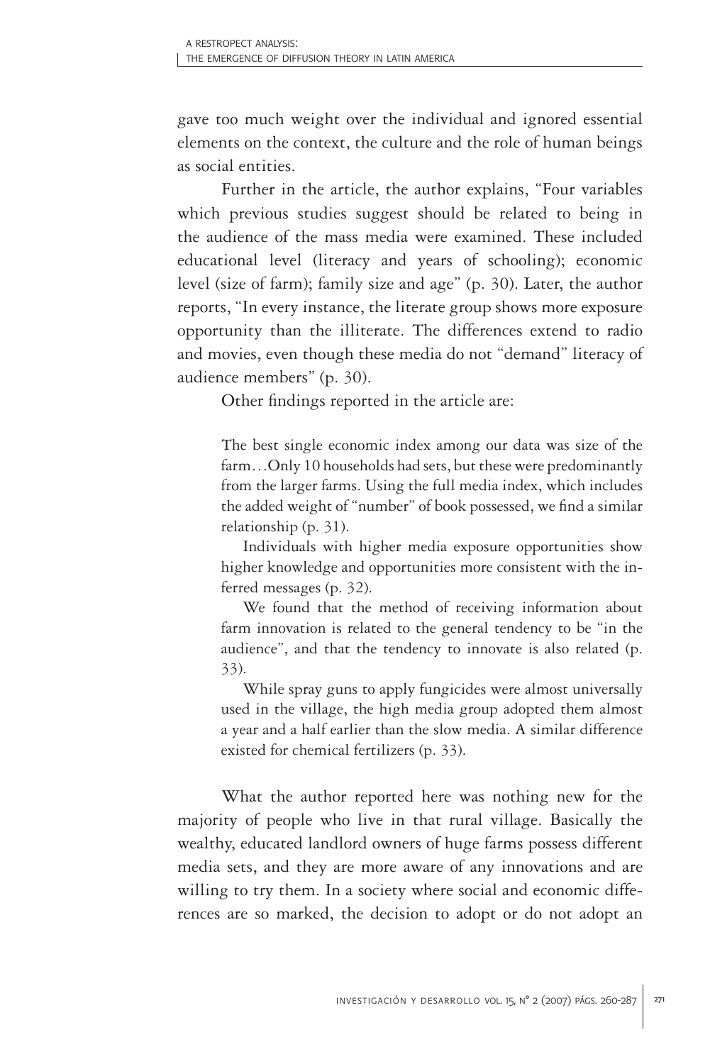gave too much weight over the individual and ignored essential elements on the context, the culture and the role of human beings as social entities.

Further in the article, the author explains, "Four variables which previous studies suggest should be related to being in the audience of the mass media were examined. These included educational level (literacy and years of schooling); economic level (size of farm); family size and age" (p. 30). Later, the author reports, "In every instance, the literate group shows more exposure opportunity than the illiterate. The differences extend to radio and movies, even though these media do not "demand" literacy of audience members" (p. 30).

Other findings reported in the article are:

The best single economic index among our data was size of the farm…Only 10 households had sets, but these were predominantly from the larger farms. Using the full media index, which includes the added weight of "number" of book possessed, we find a similar relationship (p. 31).

Individuals with higher media exposure opportunities show higher knowledge and opportunities more consistent with the inferred messages (p. 32).

We found that the method of receiving information about farm innovation is related to the general tendency to be "in the audience", and that the tendency to innovate is also related (p. 33).

While spray guns to apply fungicides were almost universally used in the village, the high media group adopted them almost a year and a half earlier than the slow media. A similar difference existed for chemical fertilizers (p. 33).

What the author reported here was nothing new for the majority of people who live in that rural village. Basically the wealthy, educated landlord owners of huge farms possess different media sets, and they are more aware of any innovations and are willing to try them. In a society where social and economic differences are so marked, the decision to adopt or do not adopt an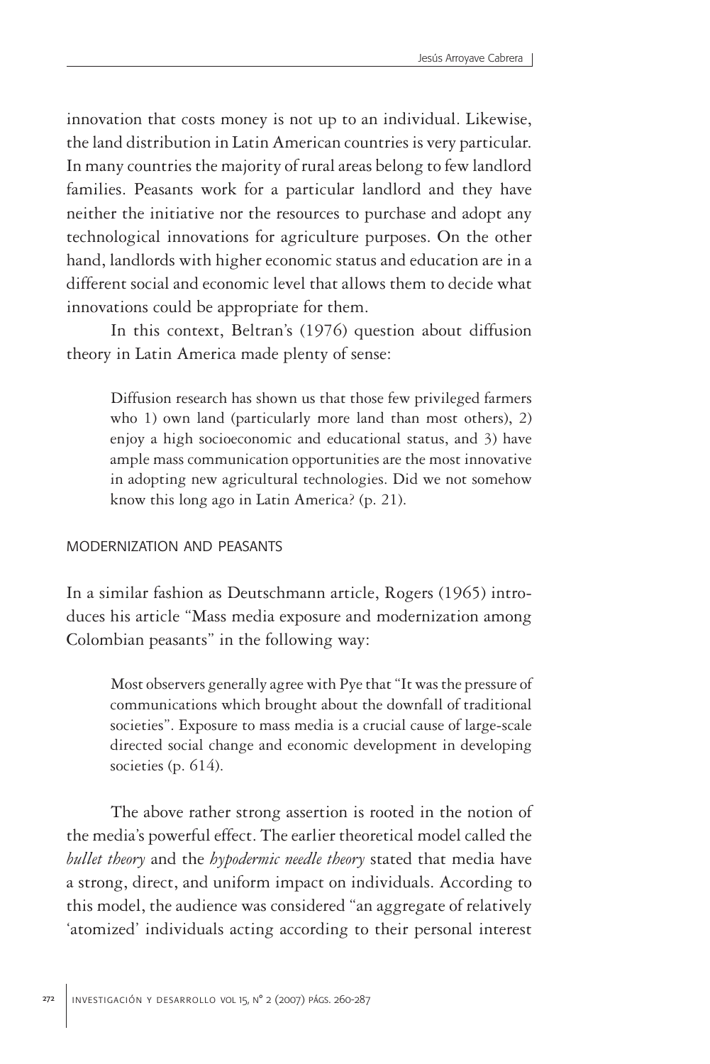innovation that costs money is not up to an individual. Likewise, the land distribution in Latin American countries is very particular. In many countries the majority of rural areas belong to few landlord families. Peasants work for a particular landlord and they have neither the initiative nor the resources to purchase and adopt any technological innovations for agriculture purposes. On the other hand, landlords with higher economic status and education are in a different social and economic level that allows them to decide what innovations could be appropriate for them.

In this context, Beltran's (1976) question about diffusion theory in Latin America made plenty of sense:

Diffusion research has shown us that those few privileged farmers who 1) own land (particularly more land than most others), 2) enjoy a high socioeconomic and educational status, and 3) have ample mass communication opportunities are the most innovative in adopting new agricultural technologies. Did we not somehow know this long ago in Latin America? (p. 21).

#### modernization and peasants

In a similar fashion as Deutschmann article, Rogers (1965) introduces his article "Mass media exposure and modernization among Colombian peasants" in the following way:

Most observers generally agree with Pye that "It was the pressure of communications which brought about the downfall of traditional societies". Exposure to mass media is a crucial cause of large-scale directed social change and economic development in developing societies (p. 614).

The above rather strong assertion is rooted in the notion of the media's powerful effect. The earlier theoretical model called the *bullet theory* and the *hypodermic needle theory* stated that media have a strong, direct, and uniform impact on individuals. According to this model, the audience was considered "an aggregate of relatively 'atomized' individuals acting according to their personal interest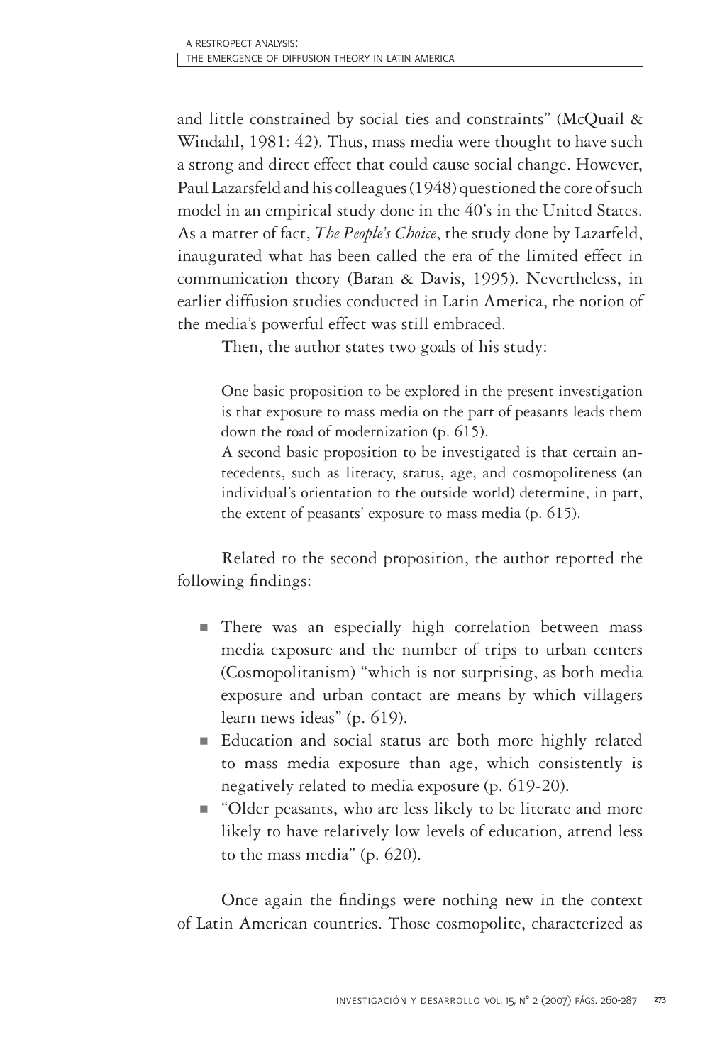and little constrained by social ties and constraints" (McQuail & Windahl, 1981: 42). Thus, mass media were thought to have such a strong and direct effect that could cause social change. However, Paul Lazarsfeld and his colleagues (1948) questioned the core of such model in an empirical study done in the 40's in the United States. As a matter of fact, *The People's Choice*, the study done by Lazarfeld, inaugurated what has been called the era of the limited effect in communication theory (Baran & Davis, 1995). Nevertheless, in earlier diffusion studies conducted in Latin America, the notion of the media's powerful effect was still embraced.

Then, the author states two goals of his study:

One basic proposition to be explored in the present investigation is that exposure to mass media on the part of peasants leads them down the road of modernization (p. 615).

A second basic proposition to be investigated is that certain antecedents, such as literacy, status, age, and cosmopoliteness (an individual's orientation to the outside world) determine, in part, the extent of peasants' exposure to mass media (p. 615).

Related to the second proposition, the author reported the following findings:

- There was an especially high correlation between mass media exposure and the number of trips to urban centers (Cosmopolitanism) "which is not surprising, as both media exposure and urban contact are means by which villagers learn news ideas" (p. 619).
- Education and social status are both more highly related to mass media exposure than age, which consistently is negatively related to media exposure (p. 619-20).
- "Older peasants, who are less likely to be literate and more likely to have relatively low levels of education, attend less to the mass media" (p. 620).

Once again the findings were nothing new in the context of Latin American countries. Those cosmopolite, characterized as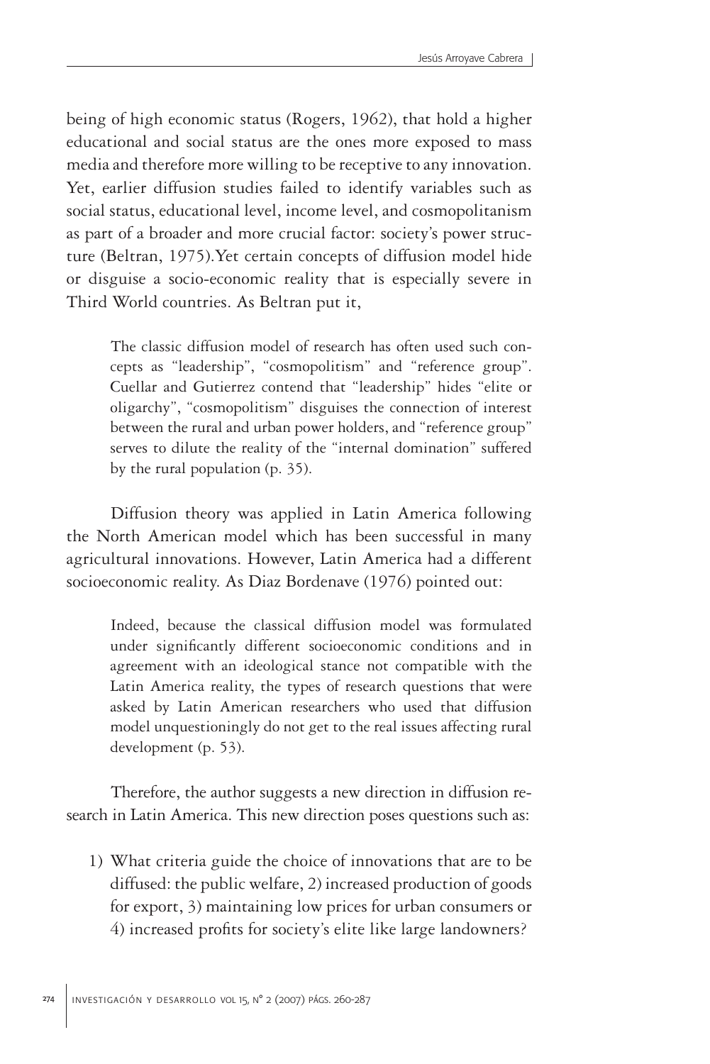being of high economic status (Rogers, 1962), that hold a higher educational and social status are the ones more exposed to mass media and therefore more willing to be receptive to any innovation. Yet, earlier diffusion studies failed to identify variables such as social status, educational level, income level, and cosmopolitanism as part of a broader and more crucial factor: society's power structure (Beltran, 1975).Yet certain concepts of diffusion model hide or disguise a socio-economic reality that is especially severe in Third World countries. As Beltran put it,

The classic diffusion model of research has often used such concepts as "leadership", "cosmopolitism" and "reference group". Cuellar and Gutierrez contend that "leadership" hides "elite or oligarchy", "cosmopolitism" disguises the connection of interest between the rural and urban power holders, and "reference group" serves to dilute the reality of the "internal domination" suffered by the rural population (p. 35).

Diffusion theory was applied in Latin America following the North American model which has been successful in many agricultural innovations. However, Latin America had a different socioeconomic reality. As Diaz Bordenave (1976) pointed out:

Indeed, because the classical diffusion model was formulated under significantly different socioeconomic conditions and in agreement with an ideological stance not compatible with the Latin America reality, the types of research questions that were asked by Latin American researchers who used that diffusion model unquestioningly do not get to the real issues affecting rural development (p. 53).

Therefore, the author suggests a new direction in diffusion research in Latin America. This new direction poses questions such as:

1) What criteria guide the choice of innovations that are to be diffused: the public welfare, 2) increased production of goods for export, 3) maintaining low prices for urban consumers or 4) increased profits for society's elite like large landowners?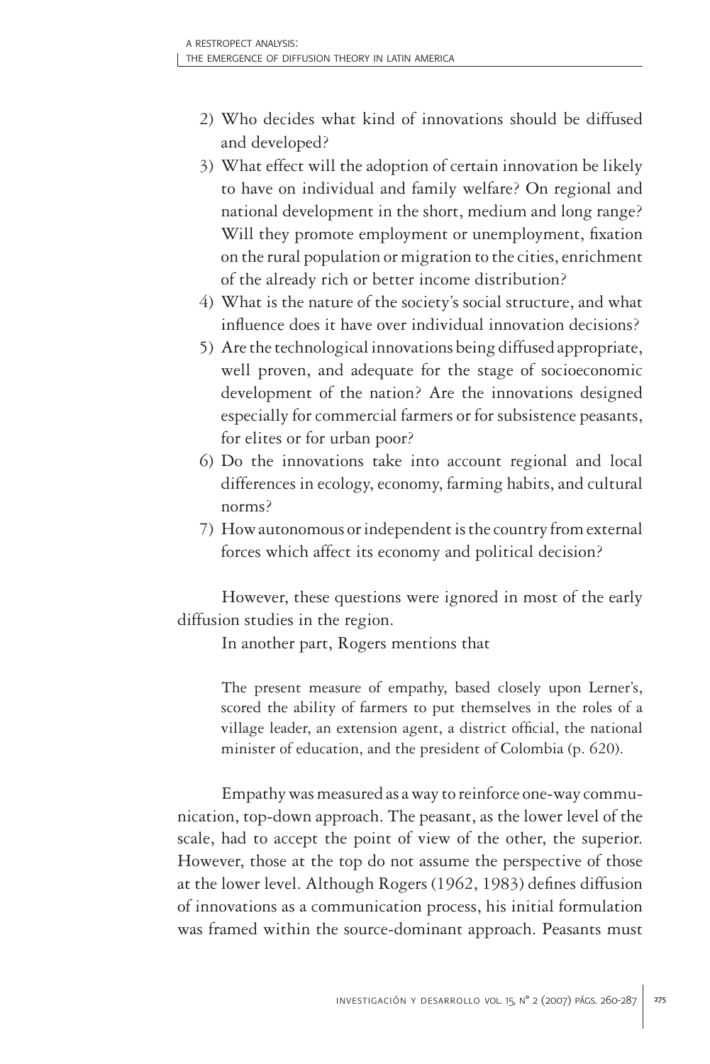- 2) Who decides what kind of innovations should be diffused and developed?
- 3) What effect will the adoption of certain innovation be likely to have on individual and family welfare? On regional and national development in the short, medium and long range? Will they promote employment or unemployment, fixation on the rural population or migration to the cities, enrichment of the already rich or better income distribution?
- 4) What is the nature of the society's social structure, and what influence does it have over individual innovation decisions?
- 5) Are the technological innovations being diffused appropriate, well proven, and adequate for the stage of socioeconomic development of the nation? Are the innovations designed especially for commercial farmers or for subsistence peasants, for elites or for urban poor?
- 6) Do the innovations take into account regional and local differences in ecology, economy, farming habits, and cultural norms?
- 7) How autonomous or independent is the country from external forces which affect its economy and political decision?

However, these questions were ignored in most of the early diffusion studies in the region.

In another part, Rogers mentions that

The present measure of empathy, based closely upon Lerner's, scored the ability of farmers to put themselves in the roles of a village leader, an extension agent, a district official, the national minister of education, and the president of Colombia (p. 620).

Empathy was measured as a way to reinforce one-way communication, top-down approach. The peasant, as the lower level of the scale, had to accept the point of view of the other, the superior. However, those at the top do not assume the perspective of those at the lower level. Although Rogers (1962, 1983) defines diffusion of innovations as a communication process, his initial formulation was framed within the source-dominant approach. Peasants must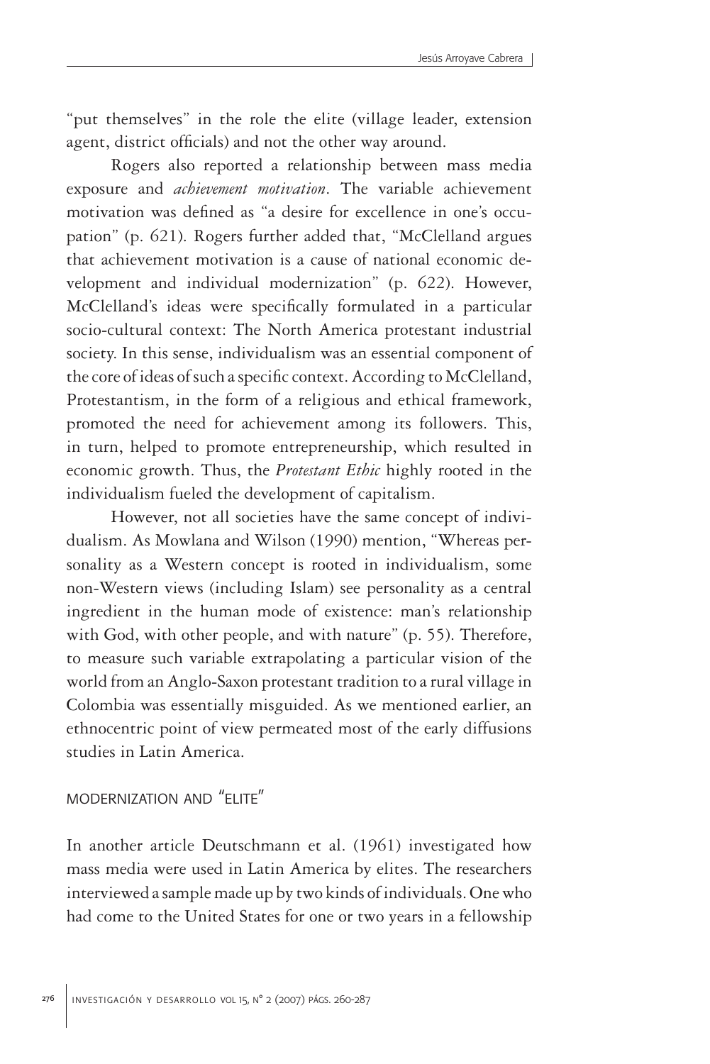"put themselves" in the role the elite (village leader, extension agent, district officials) and not the other way around.

Rogers also reported a relationship between mass media exposure and *achievement motivation*. The variable achievement motivation was defined as "a desire for excellence in one's occupation" (p. 621). Rogers further added that, "McClelland argues that achievement motivation is a cause of national economic development and individual modernization" (p. 622). However, McClelland's ideas were specifically formulated in a particular socio-cultural context: The North America protestant industrial society. In this sense, individualism was an essential component of the core of ideas of such a specific context. According to McClelland, Protestantism, in the form of a religious and ethical framework, promoted the need for achievement among its followers. This, in turn, helped to promote entrepreneurship, which resulted in economic growth. Thus, the *Protestant Ethic* highly rooted in the individualism fueled the development of capitalism.

However, not all societies have the same concept of individualism. As Mowlana and Wilson (1990) mention, "Whereas personality as a Western concept is rooted in individualism, some non-Western views (including Islam) see personality as a central ingredient in the human mode of existence: man's relationship with God, with other people, and with nature" (p. 55). Therefore, to measure such variable extrapolating a particular vision of the world from an Anglo-Saxon protestant tradition to a rural village in Colombia was essentially misguided. As we mentioned earlier, an ethnocentric point of view permeated most of the early diffusions studies in Latin America.

# modernization and "elite"

In another article Deutschmann et al. (1961) investigated how mass media were used in Latin America by elites. The researchers interviewed a sample made up by two kinds of individuals. One who had come to the United States for one or two years in a fellowship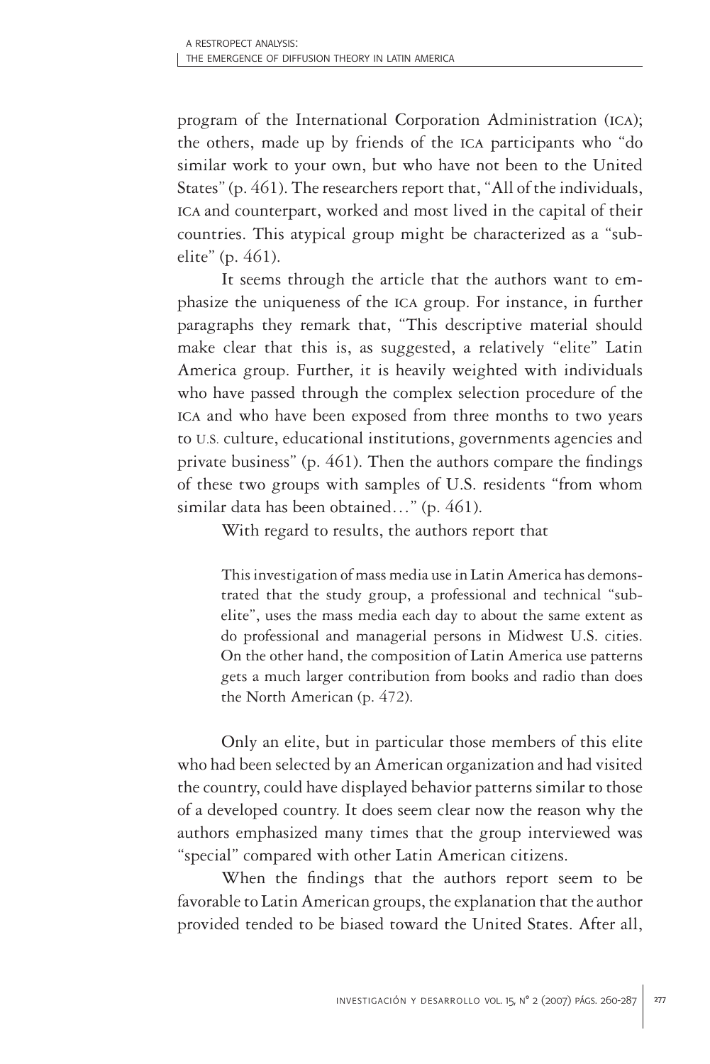program of the International Corporation Administration (ica); the others, made up by friends of the ica participants who "do similar work to your own, but who have not been to the United States" (p. 461). The researchers report that, "All of the individuals, ica and counterpart, worked and most lived in the capital of their countries. This atypical group might be characterized as a "subelite" (p. 461).

It seems through the article that the authors want to emphasize the uniqueness of the ica group. For instance, in further paragraphs they remark that, "This descriptive material should make clear that this is, as suggested, a relatively "elite" Latin America group. Further, it is heavily weighted with individuals who have passed through the complex selection procedure of the ica and who have been exposed from three months to two years to U.S. culture, educational institutions, governments agencies and private business" (p. 461). Then the authors compare the findings of these two groups with samples of U.S. residents "from whom similar data has been obtained…" (p. 461).

With regard to results, the authors report that

This investigation of mass media use in Latin America has demonstrated that the study group, a professional and technical "subelite", uses the mass media each day to about the same extent as do professional and managerial persons in Midwest U.S. cities. On the other hand, the composition of Latin America use patterns gets a much larger contribution from books and radio than does the North American (p. 472).

Only an elite, but in particular those members of this elite who had been selected by an American organization and had visited the country, could have displayed behavior patterns similar to those of a developed country. It does seem clear now the reason why the authors emphasized many times that the group interviewed was "special" compared with other Latin American citizens.

When the findings that the authors report seem to be favorable to Latin American groups, the explanation that the author provided tended to be biased toward the United States. After all,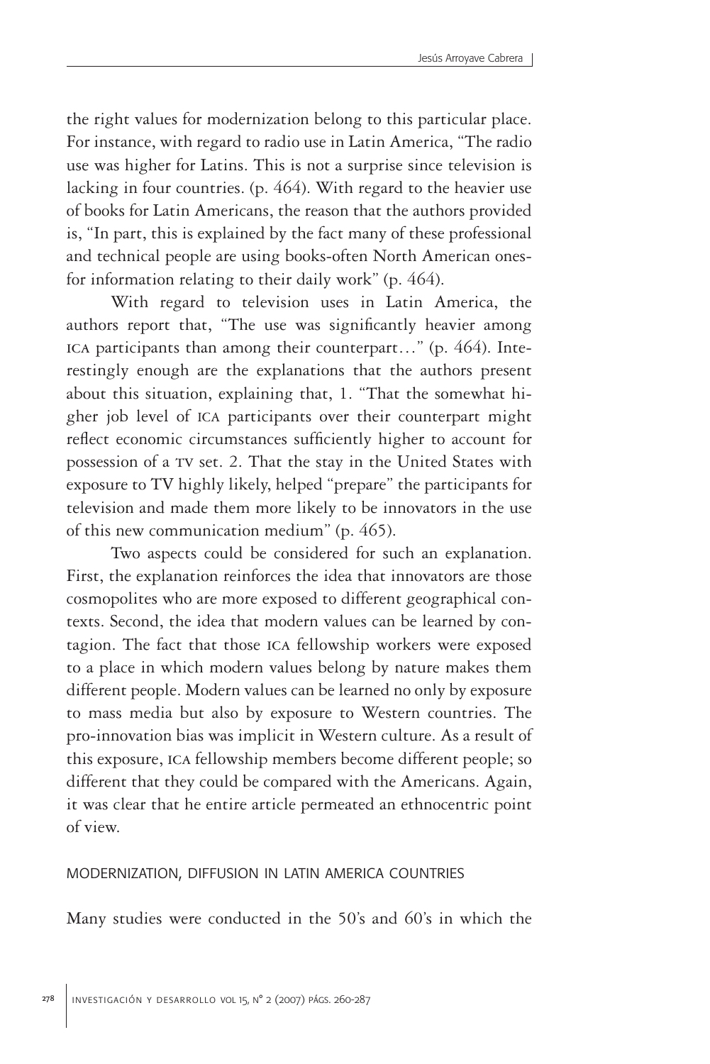the right values for modernization belong to this particular place. For instance, with regard to radio use in Latin America, "The radio use was higher for Latins. This is not a surprise since television is lacking in four countries. (p. 464). With regard to the heavier use of books for Latin Americans, the reason that the authors provided is, "In part, this is explained by the fact many of these professional and technical people are using books-often North American onesfor information relating to their daily work" (p. 464).

With regard to television uses in Latin America, the authors report that, "The use was significantly heavier among ica participants than among their counterpart…" (p. 464). Interestingly enough are the explanations that the authors present about this situation, explaining that, 1. "That the somewhat higher job level of ICA participants over their counterpart might reflect economic circumstances sufficiently higher to account for possession of a tv set. 2. That the stay in the United States with exposure to TV highly likely, helped "prepare" the participants for television and made them more likely to be innovators in the use of this new communication medium" (p. 465).

Two aspects could be considered for such an explanation. First, the explanation reinforces the idea that innovators are those cosmopolites who are more exposed to different geographical contexts. Second, the idea that modern values can be learned by contagion. The fact that those ica fellowship workers were exposed to a place in which modern values belong by nature makes them different people. Modern values can be learned no only by exposure to mass media but also by exposure to Western countries. The pro-innovation bias was implicit in Western culture. As a result of this exposure, ica fellowship members become different people; so different that they could be compared with the Americans. Again, it was clear that he entire article permeated an ethnocentric point of view.

#### modernization, diffusion in latin america countries

Many studies were conducted in the 50's and 60's in which the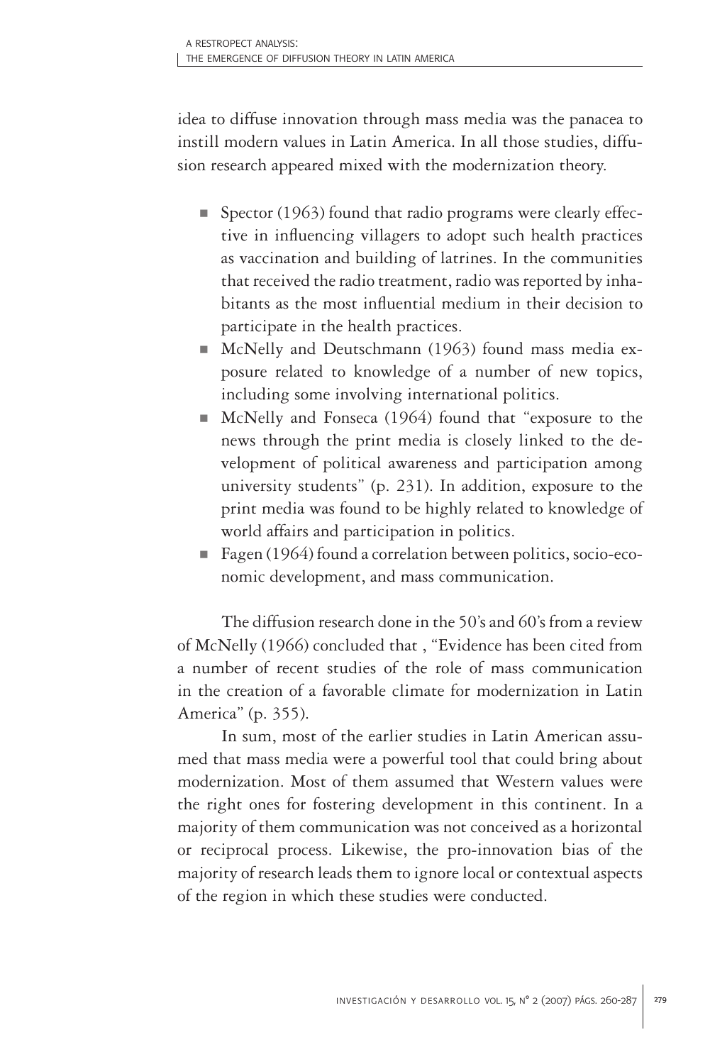idea to diffuse innovation through mass media was the panacea to instill modern values in Latin America. In all those studies, diffusion research appeared mixed with the modernization theory.

- $\blacksquare$  Spector (1963) found that radio programs were clearly effective in influencing villagers to adopt such health practices as vaccination and building of latrines. In the communities that received the radio treatment, radio was reported by inhabitants as the most influential medium in their decision to participate in the health practices.
- McNelly and Deutschmann (1963) found mass media exposure related to knowledge of a number of new topics, including some involving international politics.
- McNelly and Fonseca (1964) found that "exposure to the news through the print media is closely linked to the development of political awareness and participation among university students" (p. 231). In addition, exposure to the print media was found to be highly related to knowledge of world affairs and participation in politics.
- Fagen (1964) found a correlation between politics, socio-economic development, and mass communication.

The diffusion research done in the 50's and 60's from a review of McNelly (1966) concluded that , "Evidence has been cited from a number of recent studies of the role of mass communication in the creation of a favorable climate for modernization in Latin America" (p. 355).

In sum, most of the earlier studies in Latin American assumed that mass media were a powerful tool that could bring about modernization. Most of them assumed that Western values were the right ones for fostering development in this continent. In a majority of them communication was not conceived as a horizontal or reciprocal process. Likewise, the pro-innovation bias of the majority of research leads them to ignore local or contextual aspects of the region in which these studies were conducted.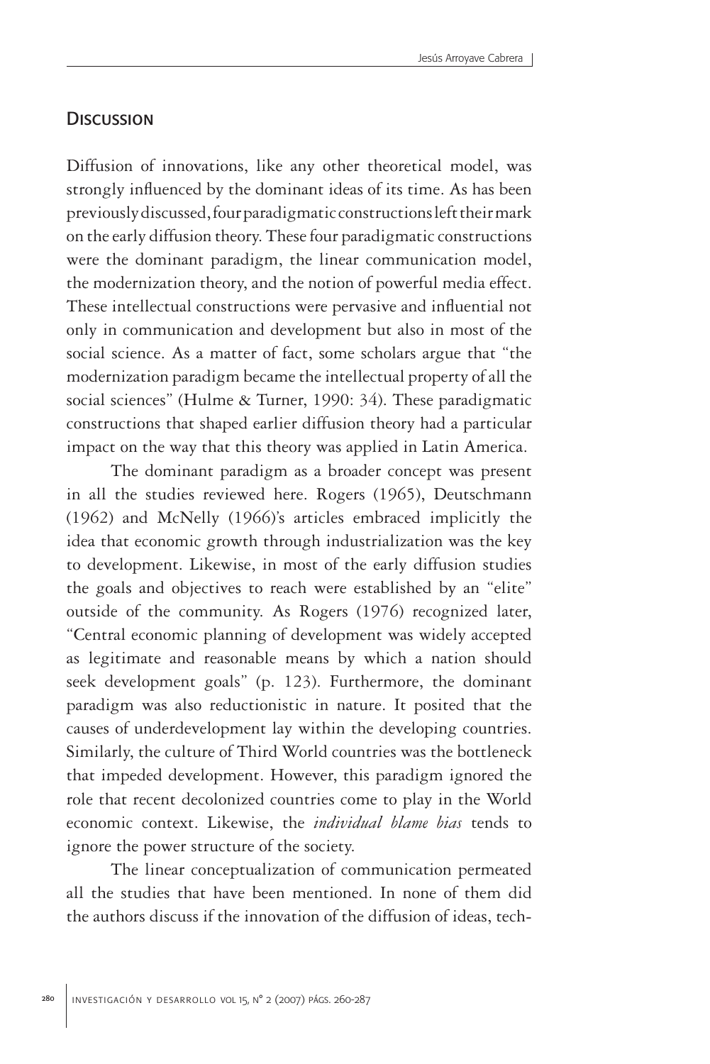# **DISCUSSION**

Diffusion of innovations, like any other theoretical model, was strongly influenced by the dominant ideas of its time. As has been previously discussed, four paradigmatic constructions left their mark on the early diffusion theory. These four paradigmatic constructions were the dominant paradigm, the linear communication model, the modernization theory, and the notion of powerful media effect. These intellectual constructions were pervasive and influential not only in communication and development but also in most of the social science. As a matter of fact, some scholars argue that "the modernization paradigm became the intellectual property of all the social sciences" (Hulme & Turner, 1990: 34). These paradigmatic constructions that shaped earlier diffusion theory had a particular impact on the way that this theory was applied in Latin America.

The dominant paradigm as a broader concept was present in all the studies reviewed here. Rogers (1965), Deutschmann (1962) and McNelly (1966)'s articles embraced implicitly the idea that economic growth through industrialization was the key to development. Likewise, in most of the early diffusion studies the goals and objectives to reach were established by an "elite" outside of the community. As Rogers (1976) recognized later, "Central economic planning of development was widely accepted as legitimate and reasonable means by which a nation should seek development goals" (p. 123). Furthermore, the dominant paradigm was also reductionistic in nature. It posited that the causes of underdevelopment lay within the developing countries. Similarly, the culture of Third World countries was the bottleneck that impeded development. However, this paradigm ignored the role that recent decolonized countries come to play in the World economic context. Likewise, the *individual blame bias* tends to ignore the power structure of the society.

The linear conceptualization of communication permeated all the studies that have been mentioned. In none of them did the authors discuss if the innovation of the diffusion of ideas, tech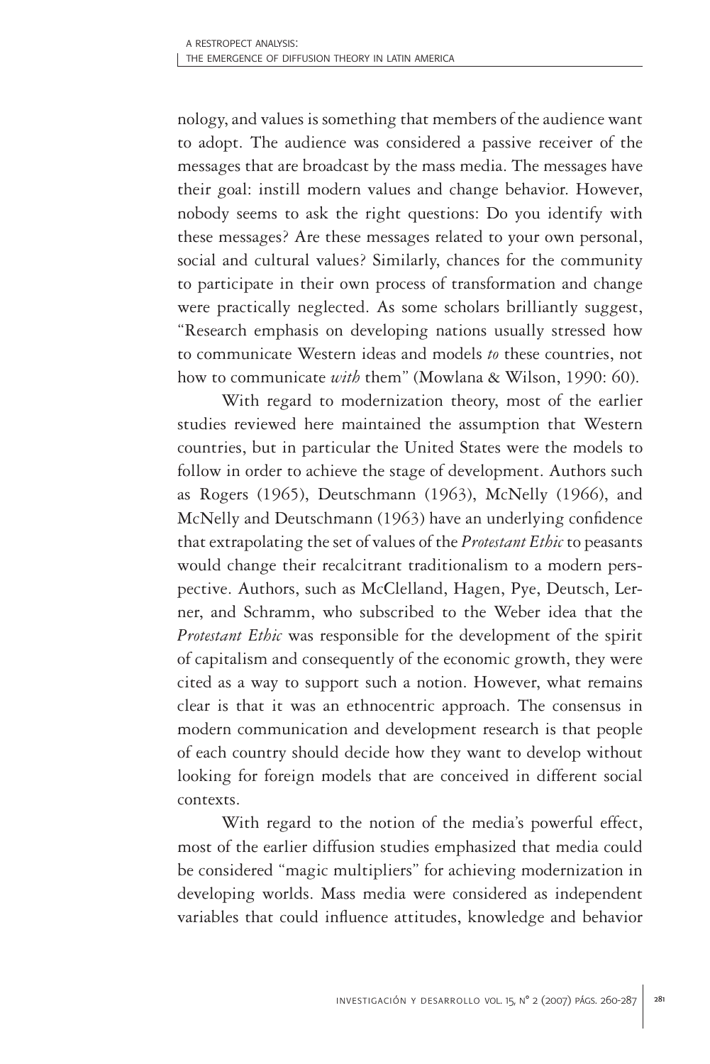nology, and values is something that members of the audience want to adopt. The audience was considered a passive receiver of the messages that are broadcast by the mass media. The messages have their goal: instill modern values and change behavior. However, nobody seems to ask the right questions: Do you identify with these messages? Are these messages related to your own personal, social and cultural values? Similarly, chances for the community to participate in their own process of transformation and change were practically neglected. As some scholars brilliantly suggest, "Research emphasis on developing nations usually stressed how to communicate Western ideas and models *to* these countries, not how to communicate *with* them" (Mowlana & Wilson, 1990: 60).

With regard to modernization theory, most of the earlier studies reviewed here maintained the assumption that Western countries, but in particular the United States were the models to follow in order to achieve the stage of development. Authors such as Rogers (1965), Deutschmann (1963), McNelly (1966), and McNelly and Deutschmann (1963) have an underlying confidence that extrapolating the set of values of the *Protestant Ethic* to peasants would change their recalcitrant traditionalism to a modern perspective. Authors, such as McClelland, Hagen, Pye, Deutsch, Lerner, and Schramm, who subscribed to the Weber idea that the *Protestant Ethic* was responsible for the development of the spirit of capitalism and consequently of the economic growth, they were cited as a way to support such a notion. However, what remains clear is that it was an ethnocentric approach. The consensus in modern communication and development research is that people of each country should decide how they want to develop without looking for foreign models that are conceived in different social contexts.

With regard to the notion of the media's powerful effect, most of the earlier diffusion studies emphasized that media could be considered "magic multipliers" for achieving modernization in developing worlds. Mass media were considered as independent variables that could influence attitudes, knowledge and behavior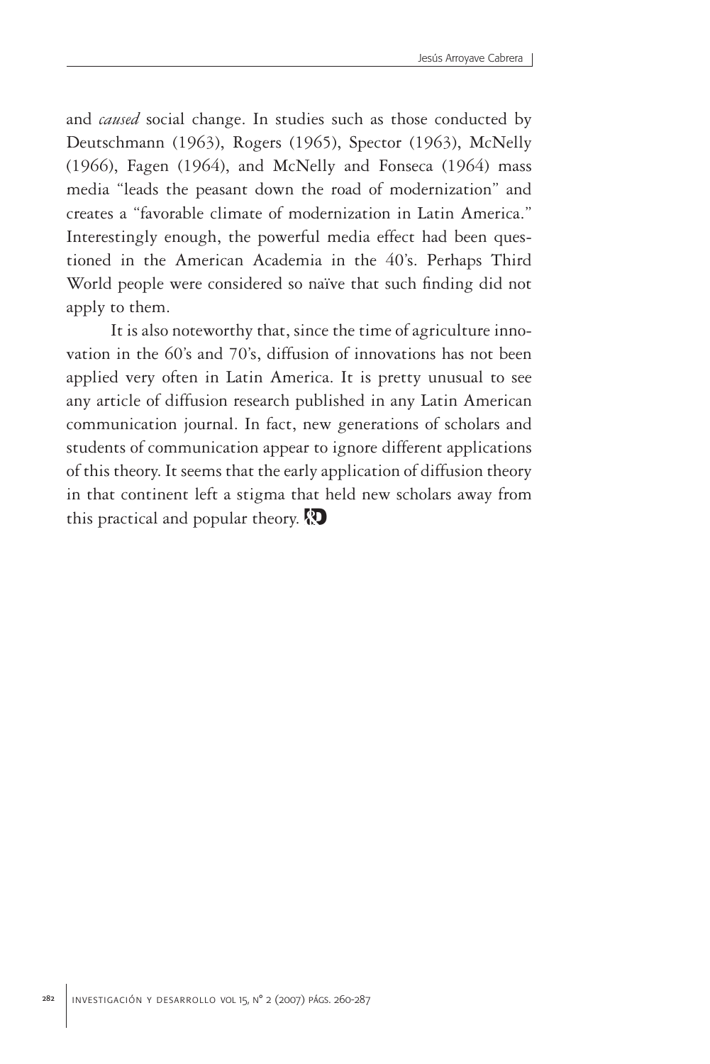and *caused* social change. In studies such as those conducted by Deutschmann (1963), Rogers (1965), Spector (1963), McNelly (1966), Fagen (1964), and McNelly and Fonseca (1964) mass media "leads the peasant down the road of modernization" and creates a "favorable climate of modernization in Latin America." Interestingly enough, the powerful media effect had been questioned in the American Academia in the 40's. Perhaps Third World people were considered so naïve that such finding did not apply to them.

It is also noteworthy that, since the time of agriculture innovation in the 60's and 70's, diffusion of innovations has not been applied very often in Latin America. It is pretty unusual to see any article of diffusion research published in any Latin American communication journal. In fact, new generations of scholars and students of communication appear to ignore different applications of this theory. It seems that the early application of diffusion theory in that continent left a stigma that held new scholars away from this practical and popular theory. ID**&**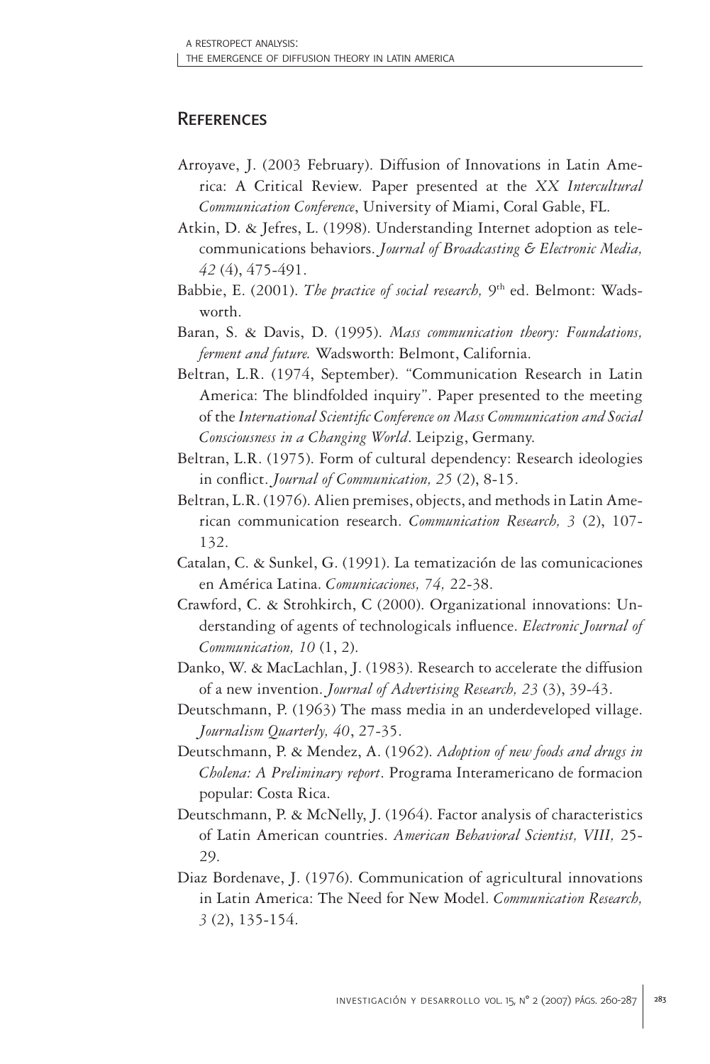# **REFERENCES**

- Arroyave, J. (2003 February). Diffusion of Innovations in Latin America: A Critical Review*.* Paper presented at the *XX Intercultural Communication Conference*, University of Miami, Coral Gable, FL.
- Atkin, D. & Jefres, L. (1998). Understanding Internet adoption as telecommunications behaviors. *Journal of Broadcasting & Electronic Media, 42* (4), 475-491.
- Babbie, E. (2001). *The practice of social research*, <sup>9th</sup> ed. Belmont: Wadsworth.
- Baran, S. & Davis, D. (1995). *Mass communication theory: Foundations, ferment and future.* Wadsworth: Belmont, California.
- Beltran, L.R. (1974, September). "Communication Research in Latin America: The blindfolded inquiry". Paper presented to the meeting of the *International Scientific Conference on Mass Communication and Social Consciousness in a Changing World*. Leipzig, Germany.
- Beltran, L.R. (1975). Form of cultural dependency: Research ideologies in conflict. *Journal of Communication, 25* (2), 8-15.
- Beltran, L.R. (1976). Alien premises, objects, and methods in Latin American communication research. *Communication Research, 3* (2), 107- 132.
- Catalan, C. & Sunkel, G. (1991). La tematización de las comunicaciones en América Latina. *Comunicaciones, 74,* 22-38.
- Crawford, C. & Strohkirch, C (2000). Organizational innovations: Understanding of agents of technologicals influence. *Electronic Journal of Communication, 10* (1, 2).
- Danko, W. & MacLachlan, J. (1983). Research to accelerate the diffusion of a new invention. *Journal of Advertising Research, 23* (3), 39-43.
- Deutschmann, P. (1963) The mass media in an underdeveloped village. *Journalism Quarterly, 40*, 27-35.
- Deutschmann, P. & Mendez, A. (1962). *Adoption of new foods and drugs in Cholena: A Preliminary report*. Programa Interamericano de formacion popular: Costa Rica.
- Deutschmann, P. & McNelly, J. (1964). Factor analysis of characteristics of Latin American countries. *American Behavioral Scientist, VIII,* 25- 29.
- Diaz Bordenave, J. (1976). Communication of agricultural innovations in Latin America: The Need for New Model. *Communication Research, 3* (2), 135-154.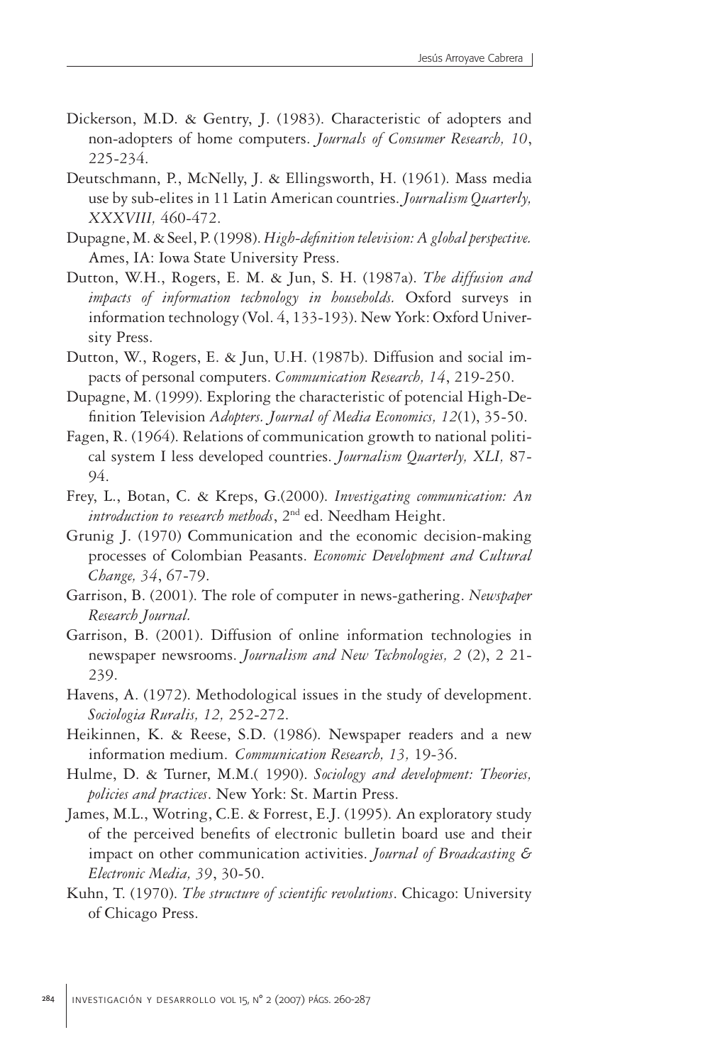- Dickerson, M.D. & Gentry, J. (1983). Characteristic of adopters and non-adopters of home computers. *Journals of Consumer Research, 10*, 225-234.
- Deutschmann, P., McNelly, J. & Ellingsworth, H. (1961). Mass media use by sub-elites in 11 Latin American countries. *Journalism Quarterly, XXXVIII,* 460-472.
- Dupagne, M. & Seel, P. (1998). *High-definition television: A global perspective.* Ames, IA: Iowa State University Press.
- Dutton, W.H., Rogers, E. M. & Jun, S. H. (1987a). *The diffusion and impacts of information technology in households.* Oxford surveys in information technology (Vol. 4, 133-193). New York: Oxford University Press.
- Dutton, W., Rogers, E. & Jun, U.H. (1987b). Diffusion and social impacts of personal computers. *Communication Research, 14*, 219-250.
- Dupagne, M. (1999). Exploring the characteristic of potencial High-Definition Television *Adopters. Journal of Media Economics, 12*(1), 35-50.
- Fagen, R. (1964). Relations of communication growth to national political system I less developed countries. *Journalism Quarterly, XLI,* 87- 94.
- Frey, L., Botan, C. & Kreps, G.(2000). *Investigating communication: An introduction to research methods*, 2nd ed. Needham Height.
- Grunig J. (1970) Communication and the economic decision-making processes of Colombian Peasants. *Economic Development and Cultural Change, 34*, 67-79.
- Garrison, B. (2001). The role of computer in news-gathering. *Newspaper Research Journal.*
- Garrison, B. (2001). Diffusion of online information technologies in newspaper newsrooms. *Journalism and New Technologies, 2* (2), 2 21- 239.
- Havens, A. (1972). Methodological issues in the study of development. *Sociologia Ruralis, 12,* 252-272.
- Heikinnen, K. & Reese, S.D. (1986). Newspaper readers and a new information medium. *Communication Research, 13,* 19-36.
- Hulme, D. & Turner, M.M.( 1990). *Sociology and development: Theories, policies and practices*. New York: St. Martin Press.
- James, M.L., Wotring, C.E. & Forrest, E.J. (1995). An exploratory study of the perceived benefits of electronic bulletin board use and their impact on other communication activities. *Journal of Broadcasting & Electronic Media, 39*, 30-50.
- Kuhn, T. (1970). *The structure of scientific revolutions*. Chicago: University of Chicago Press.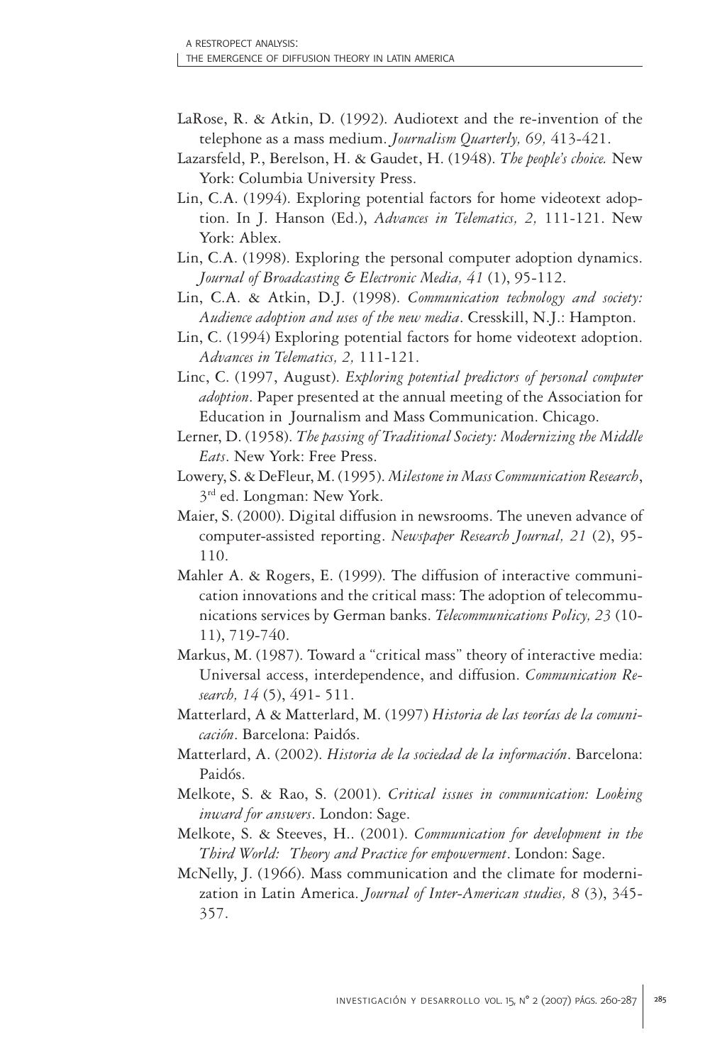- LaRose, R. & Atkin, D. (1992). Audiotext and the re-invention of the telephone as a mass medium. *Journalism Quarterly, 69,* 413-421.
- Lazarsfeld, P., Berelson, H. & Gaudet, H. (1948). *The people's choice.* New York: Columbia University Press.
- Lin, C.A. (1994). Exploring potential factors for home videotext adoption. In J. Hanson (Ed.), *Advances in Telematics, 2,* 111-121. New York: Ablex.
- Lin, C.A. (1998). Exploring the personal computer adoption dynamics. *Journal of Broadcasting & Electronic Media, 41* (1), 95-112.
- Lin, C.A. & Atkin, D.J. (1998). *Communication technology and society: Audience adoption and uses of the new media*. Cresskill, N.J.: Hampton.
- Lin, C. (1994) Exploring potential factors for home videotext adoption. *Advances in Telematics, 2,* 111-121.
- Linc, C. (1997, August). *Exploring potential predictors of personal computer adoption*. Paper presented at the annual meeting of the Association for Education in Journalism and Mass Communication. Chicago.
- Lerner, D. (1958). *The passing of Traditional Society: Modernizing the Middle Eats*. New York: Free Press.
- Lowery, S. & DeFleur, M. (1995). *Milestone in Mass Communication Research*, 3<sup>rd</sup> ed. Longman: New York.
- Maier, S. (2000). Digital diffusion in newsrooms. The uneven advance of computer-assisted reporting. *Newspaper Research Journal, 21* (2), 95- 110.
- Mahler A. & Rogers, E. (1999). The diffusion of interactive communication innovations and the critical mass: The adoption of telecommunications services by German banks. *Telecommunications Policy, 23* (10- 11), 719-740.
- Markus, M. (1987). Toward a "critical mass" theory of interactive media: Universal access, interdependence, and diffusion. *Communication Research, 14* (5), 491- 511.
- Matterlard, A & Matterlard, M. (1997) *Historia de las teorías de la comunicación*. Barcelona: Paidós.
- Matterlard, A. (2002). *Historia de la sociedad de la información*. Barcelona: Paidós.
- Melkote, S. & Rao, S. (2001). *Critical issues in communication: Looking inward for answers*. London: Sage.
- Melkote, S. & Steeves, H.. (2001). *Communication for development in the Third World: Theory and Practice for empowerment*. London: Sage.
- McNelly, J. (1966). Mass communication and the climate for modernization in Latin America. *Journal of Inter-American studies, 8* (3), 345- 357.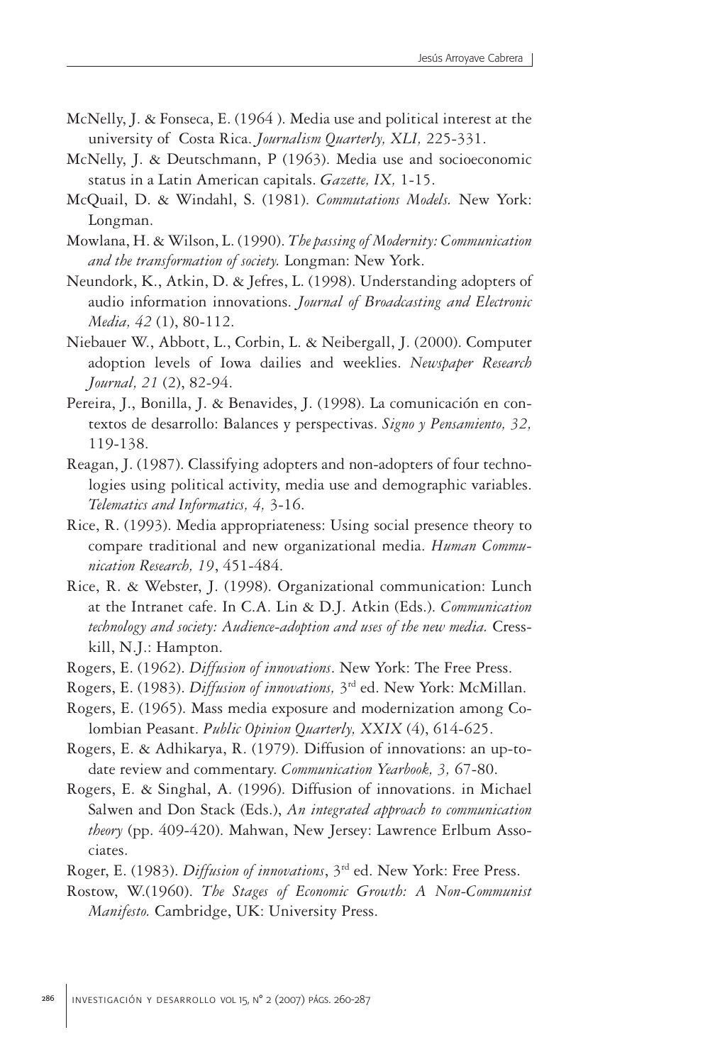- McNelly, J. & Fonseca, E. (1964 ). Media use and political interest at the university of Costa Rica. *Journalism Quarterly, XLI,* 225-331.
- McNelly, J. & Deutschmann, P (1963). Media use and socioeconomic status in a Latin American capitals. *Gazette, IX,* 1-15.
- McQuail, D. & Windahl, S. (1981). *Commutations Models.* New York: Longman.
- Mowlana, H. & Wilson, L. (1990). *The passing of Modernity: Communication and the transformation of society.* Longman: New York.
- Neundork, K., Atkin, D. & Jefres, L. (1998). Understanding adopters of audio information innovations. *Journal of Broadcasting and Electronic Media, 42* (1), 80-112.
- Niebauer W., Abbott, L., Corbin, L. & Neibergall, J. (2000). Computer adoption levels of Iowa dailies and weeklies. *Newspaper Research Journal, 21* (2), 82-94.
- Pereira, J., Bonilla, J. & Benavides, J. (1998). La comunicación en contextos de desarrollo: Balances y perspectivas. *Signo y Pensamiento, 32,* 119-138.
- Reagan, J. (1987). Classifying adopters and non-adopters of four technologies using political activity, media use and demographic variables. *Telematics and Informatics, 4,* 3-16.
- Rice, R. (1993). Media appropriateness: Using social presence theory to compare traditional and new organizational media. *Human Communication Research, 19*, 451-484.
- Rice, R. & Webster, J. (1998). Organizational communication: Lunch at the Intranet cafe. In C.A. Lin & D.J. Atkin (Eds.). *Communication technology and society: Audience-adoption and uses of the new media.* Cresskill, N.J.: Hampton.
- Rogers, E. (1962). *Diffusion of innovations*. New York: The Free Press.
- Rogers, E. (1983). *Diffusion of innovations,* 3rd ed. New York: McMillan.
- Rogers, E. (1965). Mass media exposure and modernization among Colombian Peasant. *Public Opinion Quarterly, XXIX* (4), 614-625.
- Rogers, E. & Adhikarya, R. (1979). Diffusion of innovations: an up-todate review and commentary. *Communication Yearbook, 3,* 67-80.
- Rogers, E. & Singhal, A. (1996). Diffusion of innovations. in Michael Salwen and Don Stack (Eds.), *An integrated approach to communication theory* (pp. 409-420). Mahwan, New Jersey: Lawrence Erlbum Associates.
- Roger, E. (1983). *Diffusion of innovations*, 3rd ed. New York: Free Press.
- Rostow, W.(1960). *The Stages of Economic Growth: A Non-Communist Manifesto.* Cambridge, UK: University Press.